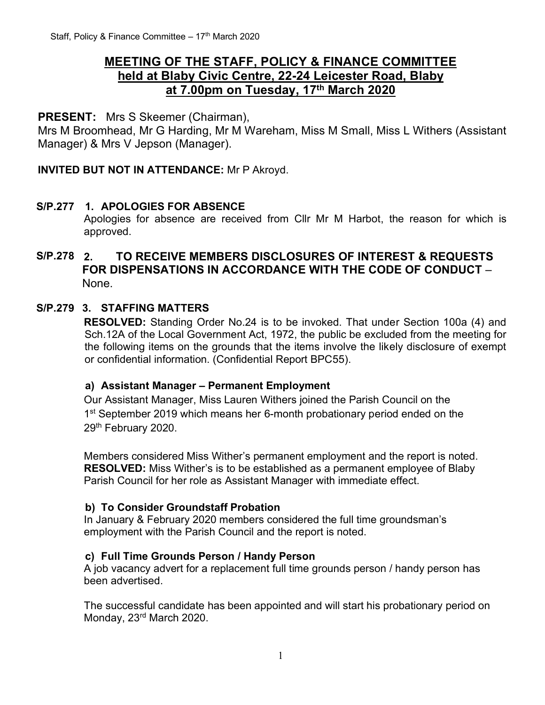# **MEETING OF THE STAFF, POLICY & FINANCE COMMITTEE held at Blaby Civic Centre, 22-24 Leicester Road, Blaby at 7.00pm on Tuesday, 17th March 2020**

### **PRESENT:** Mrs S Skeemer (Chairman),

Mrs M Broomhead, Mr G Harding, Mr M Wareham, Miss M Small, Miss L Withers (Assistant Manager) & Mrs V Jepson (Manager).

#### **INVITED BUT NOT IN ATTENDANCE:** Mr P Akroyd.

#### **S/P.277 1. APOLOGIES FOR ABSENCE**

Apologies for absence are received from Cllr Mr M Harbot, the reason for which is approved.

### **S/P.278 2. TO RECEIVE MEMBERS DISCLOSURES OF INTEREST & REQUESTS FOR DISPENSATIONS IN ACCORDANCE WITH THE CODE OF CONDUCT** – None.

#### **S/P.279 3. STAFFING MATTERS**

**RESOLVED:** Standing Order No.24 is to be invoked. That under Section 100a (4) and Sch.12A of the Local Government Act, 1972, the public be excluded from the meeting for the following items on the grounds that the items involve the likely disclosure of exempt or confidential information. (Confidential Report BPC55).

#### **a) Assistant Manager – Permanent Employment**

Our Assistant Manager, Miss Lauren Withers joined the Parish Council on the 1<sup>st</sup> September 2019 which means her 6-month probationary period ended on the 29<sup>th</sup> February 2020.

Members considered Miss Wither's permanent employment and the report is noted. **RESOLVED:** Miss Wither's is to be established as a permanent employee of Blaby Parish Council for her role as Assistant Manager with immediate effect.

#### **b) To Consider Groundstaff Probation**

In January & February 2020 members considered the full time groundsman's employment with the Parish Council and the report is noted.

#### **c) Full Time Grounds Person / Handy Person**

A job vacancy advert for a replacement full time grounds person / handy person has been advertised.

The successful candidate has been appointed and will start his probationary period on Monday, 23rd March 2020.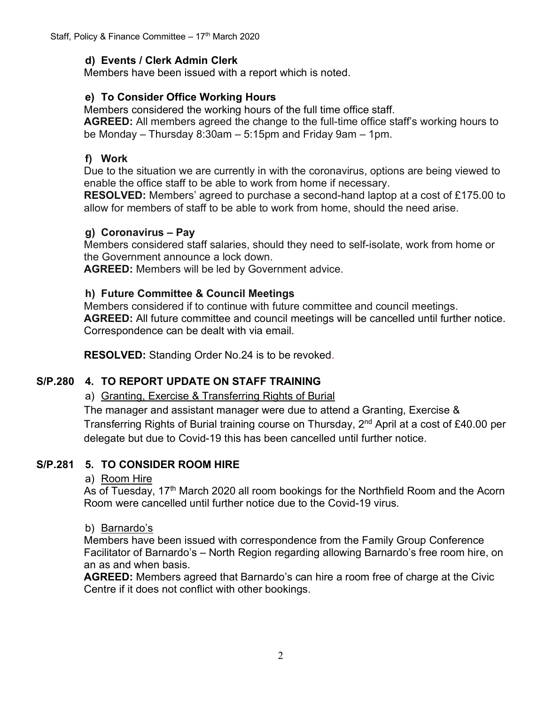### **d) Events / Clerk Admin Clerk**

Members have been issued with a report which is noted.

### **e) To Consider Office Working Hours**

Members considered the working hours of the full time office staff.

**AGREED:** All members agreed the change to the full-time office staff's working hours to be Monday – Thursday 8:30am – 5:15pm and Friday 9am – 1pm.

### **f) Work**

Due to the situation we are currently in with the coronavirus, options are being viewed to enable the office staff to be able to work from home if necessary.

**RESOLVED:** Members' agreed to purchase a second-hand laptop at a cost of £175.00 to allow for members of staff to be able to work from home, should the need arise.

### **g) Coronavirus – Pay**

Members considered staff salaries, should they need to self-isolate, work from home or the Government announce a lock down.

**AGREED:** Members will be led by Government advice.

### **h) Future Committee & Council Meetings**

Members considered if to continue with future committee and council meetings. **AGREED:** All future committee and council meetings will be cancelled until further notice. Correspondence can be dealt with via email.

**RESOLVED:** Standing Order No.24 is to be revoked.

# **S/P.280 4. TO REPORT UPDATE ON STAFF TRAINING**

# a) Granting, Exercise & Transferring Rights of Burial

The manager and assistant manager were due to attend a Granting, Exercise & Transferring Rights of Burial training course on Thursday, 2<sup>nd</sup> April at a cost of £40.00 per delegate but due to Covid-19 this has been cancelled until further notice.

# **S/P.281 5. TO CONSIDER ROOM HIRE**

#### a) Room Hire

As of Tuesday, 17<sup>th</sup> March 2020 all room bookings for the Northfield Room and the Acorn Room were cancelled until further notice due to the Covid-19 virus.

#### b) Barnardo's

Members have been issued with correspondence from the Family Group Conference Facilitator of Barnardo's – North Region regarding allowing Barnardo's free room hire, on an as and when basis.

**AGREED:** Members agreed that Barnardo's can hire a room free of charge at the Civic Centre if it does not conflict with other bookings.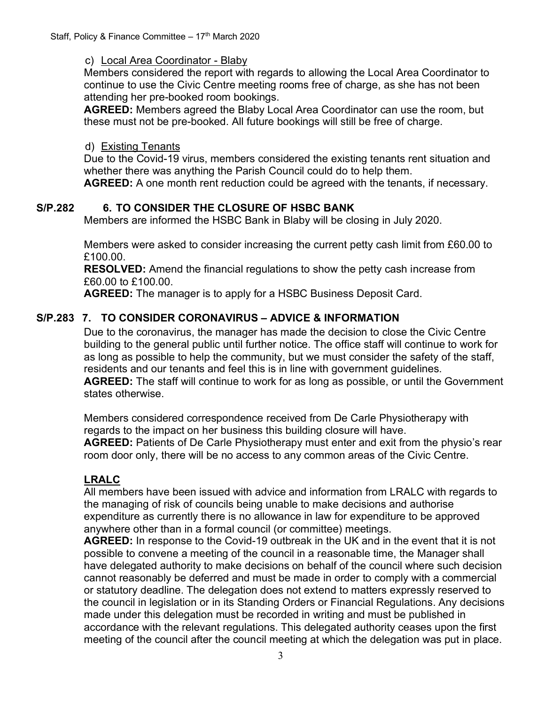#### c) Local Area Coordinator - Blaby

Members considered the report with regards to allowing the Local Area Coordinator to continue to use the Civic Centre meeting rooms free of charge, as she has not been attending her pre-booked room bookings.

**AGREED:** Members agreed the Blaby Local Area Coordinator can use the room, but these must not be pre-booked. All future bookings will still be free of charge.

### d) Existing Tenants

Due to the Covid-19 virus, members considered the existing tenants rent situation and whether there was anything the Parish Council could do to help them.

**AGREED:** A one month rent reduction could be agreed with the tenants, if necessary.

# **S/P.282 6. TO CONSIDER THE CLOSURE OF HSBC BANK**

Members are informed the HSBC Bank in Blaby will be closing in July 2020.

Members were asked to consider increasing the current petty cash limit from £60.00 to £100.00.

**RESOLVED:** Amend the financial regulations to show the petty cash increase from £60.00 to £100.00.

**AGREED:** The manager is to apply for a HSBC Business Deposit Card.

# **S/P.283 7. TO CONSIDER CORONAVIRUS – ADVICE & INFORMATION**

Due to the coronavirus, the manager has made the decision to close the Civic Centre building to the general public until further notice. The office staff will continue to work for as long as possible to help the community, but we must consider the safety of the staff, residents and our tenants and feel this is in line with government guidelines. **AGREED:** The staff will continue to work for as long as possible, or until the Government states otherwise.

Members considered correspondence received from De Carle Physiotherapy with regards to the impact on her business this building closure will have. **AGREED:** Patients of De Carle Physiotherapy must enter and exit from the physio's rear room door only, there will be no access to any common areas of the Civic Centre.

# **LRALC**

All members have been issued with advice and information from LRALC with regards to the managing of risk of councils being unable to make decisions and authorise expenditure as currently there is no allowance in law for expenditure to be approved anywhere other than in a formal council (or committee) meetings.

**AGREED:** In response to the Covid-19 outbreak in the UK and in the event that it is not possible to convene a meeting of the council in a reasonable time, the Manager shall have delegated authority to make decisions on behalf of the council where such decision cannot reasonably be deferred and must be made in order to comply with a commercial or statutory deadline. The delegation does not extend to matters expressly reserved to the council in legislation or in its Standing Orders or Financial Regulations. Any decisions made under this delegation must be recorded in writing and must be published in accordance with the relevant regulations. This delegated authority ceases upon the first meeting of the council after the council meeting at which the delegation was put in place.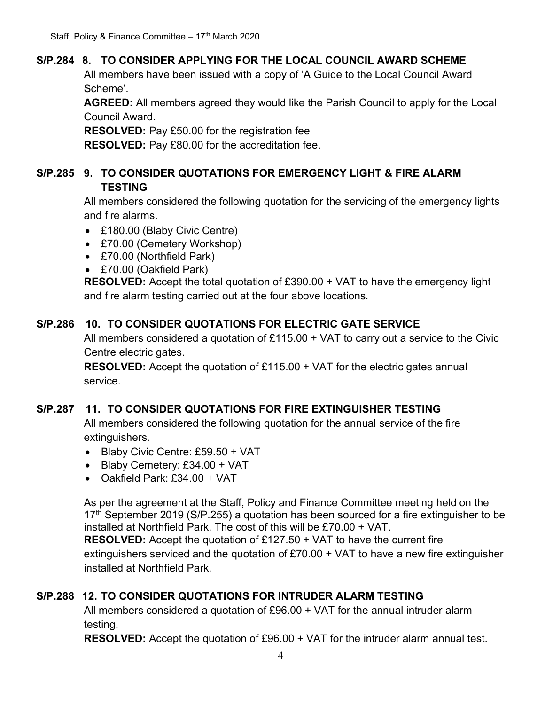# **S/P.284 8. TO CONSIDER APPLYING FOR THE LOCAL COUNCIL AWARD SCHEME**

All members have been issued with a copy of 'A Guide to the Local Council Award Scheme'.

**AGREED:** All members agreed they would like the Parish Council to apply for the Local Council Award.

**RESOLVED:** Pay £50.00 for the registration fee

**RESOLVED:** Pay £80.00 for the accreditation fee.

# **S/P.285 9. TO CONSIDER QUOTATIONS FOR EMERGENCY LIGHT & FIRE ALARM TESTING**

All members considered the following quotation for the servicing of the emergency lights and fire alarms.

- £180.00 (Blaby Civic Centre)
- £70.00 (Cemetery Workshop)
- £70.00 (Northfield Park)
- £70.00 (Oakfield Park)

**RESOLVED:** Accept the total quotation of £390.00 + VAT to have the emergency light and fire alarm testing carried out at the four above locations.

# **S/P.286 10. TO CONSIDER QUOTATIONS FOR ELECTRIC GATE SERVICE**

All members considered a quotation of £115.00 + VAT to carry out a service to the Civic Centre electric gates.

**RESOLVED:** Accept the quotation of £115.00 + VAT for the electric gates annual service.

# **S/P.287 11. TO CONSIDER QUOTATIONS FOR FIRE EXTINGUISHER TESTING**

All members considered the following quotation for the annual service of the fire extinguishers.

- Blaby Civic Centre: £59.50 + VAT
- Blaby Cemetery: £34.00 + VAT
- Oakfield Park: £34.00 + VAT

As per the agreement at the Staff, Policy and Finance Committee meeting held on the  $17<sup>th</sup>$  September 2019 (S/P.255) a quotation has been sourced for a fire extinguisher to be installed at Northfield Park. The cost of this will be £70.00 + VAT.

**RESOLVED:** Accept the quotation of £127.50 + VAT to have the current fire extinguishers serviced and the quotation of £70.00 + VAT to have a new fire extinguisher installed at Northfield Park.

# **S/P.288 12. TO CONSIDER QUOTATIONS FOR INTRUDER ALARM TESTING**

All members considered a quotation of £96.00 + VAT for the annual intruder alarm testing.

**RESOLVED:** Accept the quotation of £96.00 + VAT for the intruder alarm annual test.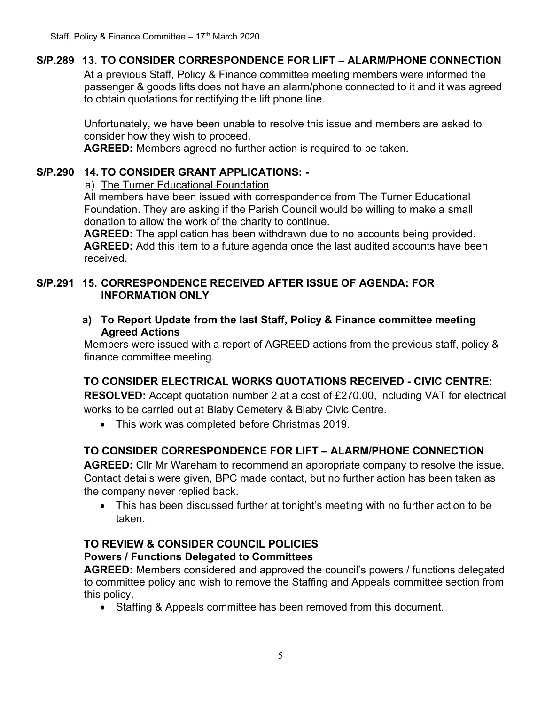### **S/P.289 13. TO CONSIDER CORRESPONDENCE FOR LIFT – ALARM/PHONE CONNECTION**

At a previous Staff, Policy & Finance committee meeting members were informed the passenger & goods lifts does not have an alarm/phone connected to it and it was agreed to obtain quotations for rectifying the lift phone line.

Unfortunately, we have been unable to resolve this issue and members are asked to consider how they wish to proceed.

**AGREED:** Members agreed no further action is required to be taken.

### **S/P.290 14. TO CONSIDER GRANT APPLICATIONS: -**

a) The Turner Educational Foundation

All members have been issued with correspondence from The Turner Educational Foundation. They are asking if the Parish Council would be willing to make a small donation to allow the work of the charity to continue.

**AGREED:** The application has been withdrawn due to no accounts being provided. **AGREED:** Add this item to a future agenda once the last audited accounts have been received.

#### **S/P.291 15. CORRESPONDENCE RECEIVED AFTER ISSUE OF AGENDA: FOR INFORMATION ONLY**

**a) To Report Update from the last Staff, Policy & Finance committee meeting Agreed Actions**

Members were issued with a report of AGREED actions from the previous staff, policy & finance committee meeting.

# **TO CONSIDER ELECTRICAL WORKS QUOTATIONS RECEIVED - CIVIC CENTRE:**

**RESOLVED:** Accept quotation number 2 at a cost of £270.00, including VAT for electrical works to be carried out at Blaby Cemetery & Blaby Civic Centre.

• This work was completed before Christmas 2019.

# **TO CONSIDER CORRESPONDENCE FOR LIFT – ALARM/PHONE CONNECTION**

**AGREED:** Cllr Mr Wareham to recommend an appropriate company to resolve the issue. Contact details were given, BPC made contact, but no further action has been taken as the company never replied back.

• This has been discussed further at tonight's meeting with no further action to be taken.

#### **TO REVIEW & CONSIDER COUNCIL POLICIES Powers / Functions Delegated to Committees**

**AGREED:** Members considered and approved the council's powers / functions delegated to committee policy and wish to remove the Staffing and Appeals committee section from this policy.

• Staffing & Appeals committee has been removed from this document.